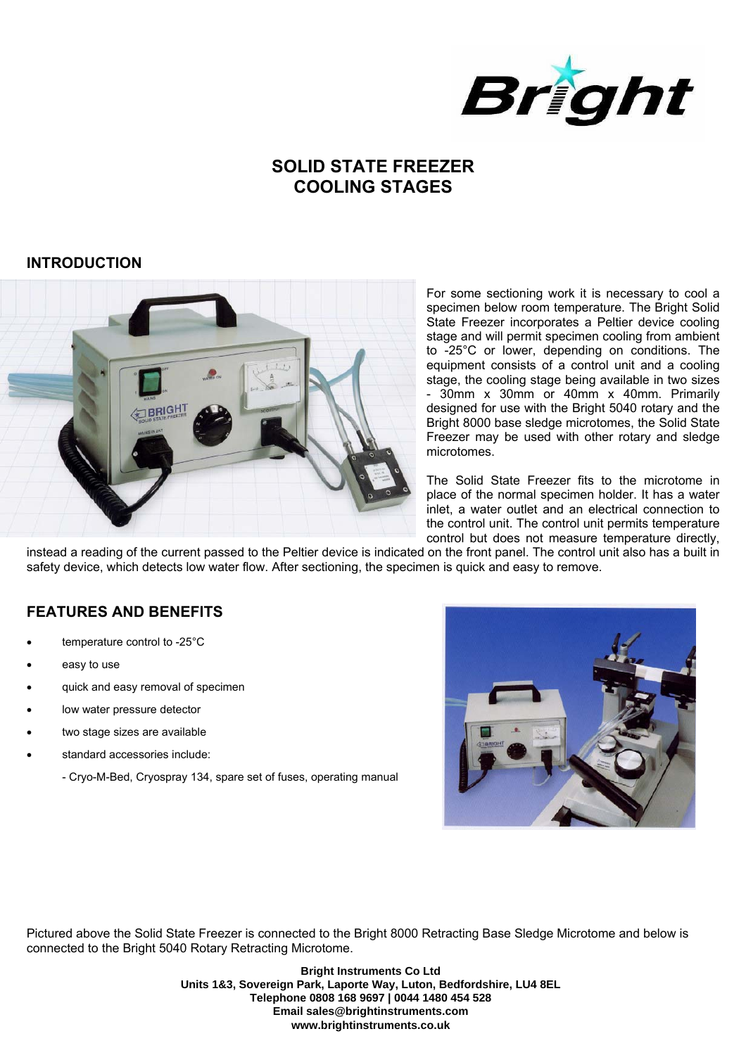

# **SOLID STATE FREEZER COOLING STAGES**

#### **INTRODUCTION**



For some sectioning work it is necessary to cool a specimen below room temperature. The Bright Solid State Freezer incorporates a Peltier device cooling stage and will permit specimen cooling from ambient to -25°C or lower, depending on conditions. The equipment consists of a control unit and a cooling stage, the cooling stage being available in two sizes - 30mm x 30mm or 40mm x 40mm. Primarily designed for use with the Bright 5040 rotary and the Bright 8000 base sledge microtomes, the Solid State Freezer may be used with other rotary and sledge microtomes.

The Solid State Freezer fits to the microtome in place of the normal specimen holder. It has a water inlet, a water outlet and an electrical connection to the control unit. The control unit permits temperature control but does not measure temperature directly,

instead a reading of the current passed to the Peltier device is indicated on the front panel. The control unit also has a built in safety device, which detects low water flow. After sectioning, the specimen is quick and easy to remove.

#### **FEATURES AND BENEFITS**

- temperature control to -25°C
- easy to use
- quick and easy removal of specimen
- low water pressure detector
- two stage sizes are available
- standard accessories include:
	- Cryo-M-Bed, Cryospray 134, spare set of fuses, operating manual



Pictured above the Solid State Freezer is connected to the Bright 8000 Retracting Base Sledge Microtome and below is connected to the Bright 5040 Rotary Retracting Microtome.

> **Bright Instruments Co Ltd Units 1&3, Sovereign Park, Laporte Way, Luton, Bedfordshire, LU4 8EL Telephone 0808 168 9697 | 0044 1480 454 528 Email sales@brightinstruments.com [www.brightinstruments.co.uk](www.brightinstruments.co.ukwww.brightinstruments.co.uk)**